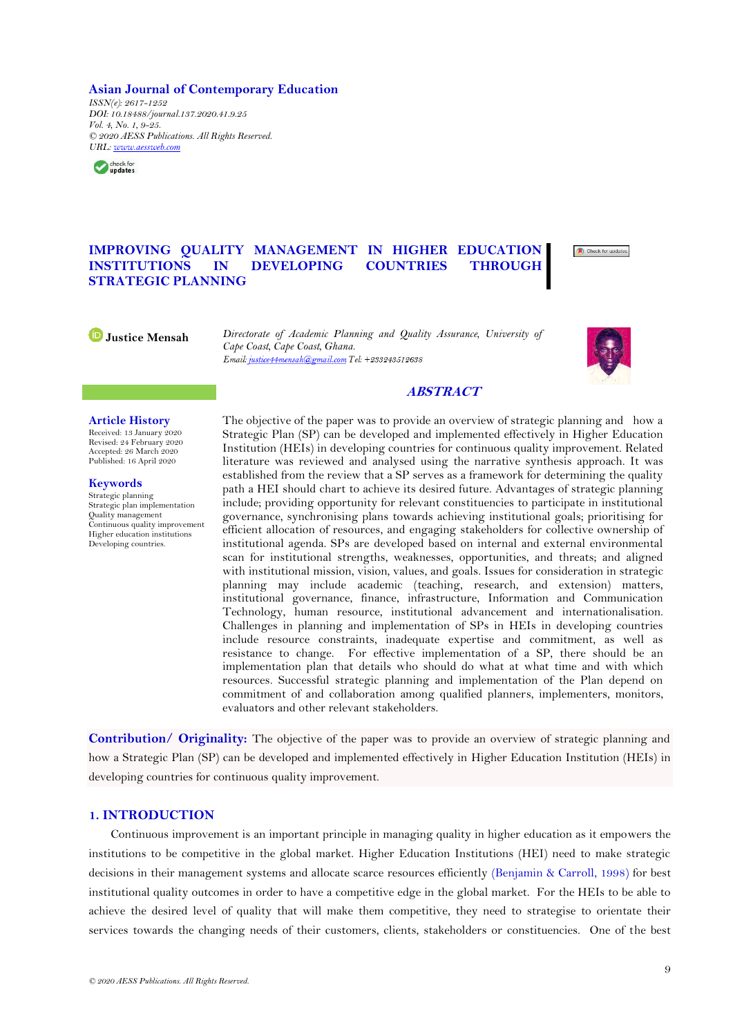## **Asian Journal of Contemporary Education**

*ISSN(e): 2617-1252 DOI: 10.18488/journal.137.2020.41.9.25 Vol. 4, No. 1, 9-25. © 2020 AESS Publications. All Rights Reserved. URL: [www.aessweb.com](http://www.aessweb.com/)*



# **IMPROVING QUALITY MANAGEMENT IN HIGHER EDUCATION INSTITUTIONS IN DEVELOPING COUNTRIES THROUGH STRATEGIC PLANNING**



**Justice Mensah** *Directorate of Academic Planning and Quality Assurance, University of Cape Coast, Cape Coast, Ghana.*



## **ABSTRACT**

#### **Article History**

Received: 13 January 2020 Revised: 24 February 2020 Accepted: 26 March 2020 Published: 16 April 2020

**Keywords** Strategic planning Strategic plan implementation Quality management Continuous quality improvement Higher education institutions Developing countries.

The objective of the paper was to provide an overview of strategic planning and how a Strategic Plan (SP) can be developed and implemented effectively in Higher Education Institution (HEIs) in developing countries for continuous quality improvement. Related literature was reviewed and analysed using the narrative synthesis approach. It was established from the review that a SP serves as a framework for determining the quality path a HEI should chart to achieve its desired future. Advantages of strategic planning include; providing opportunity for relevant constituencies to participate in institutional governance, synchronising plans towards achieving institutional goals; prioritising for efficient allocation of resources, and engaging stakeholders for collective ownership of institutional agenda. SPs are developed based on internal and external environmental scan for institutional strengths, weaknesses, opportunities, and threats; and aligned with institutional mission, vision, values, and goals. Issues for consideration in strategic planning may include academic (teaching, research, and extension) matters, institutional governance, finance, infrastructure, Information and Communication Technology, human resource, institutional advancement and internationalisation. Challenges in planning and implementation of SPs in HEIs in developing countries include resource constraints, inadequate expertise and commitment, as well as resistance to change. For effective implementation of a SP, there should be an implementation plan that details who should do what at what time and with which resources. Successful strategic planning and implementation of the Plan depend on commitment of and collaboration among qualified planners, implementers, monitors, evaluators and other relevant stakeholders.

**Contribution/ Originality:** The objective of the paper was to provide an overview of strategic planning and how a Strategic Plan (SP) can be developed and implemented effectively in Higher Education Institution (HEIs) in developing countries for continuous quality improvement.

## **1. INTRODUCTION**

Continuous improvement is an important principle in managing quality in higher education as it empowers the institutions to be competitive in the global market. Higher Education Institutions (HEI) need to make strategic decisions in their management systems and allocate scarce resources efficiently [\(Benjamin & Carroll, 1998\)](#page-13-0) for best institutional quality outcomes in order to have a competitive edge in the global market. For the HEIs to be able to achieve the desired level of quality that will make them competitive, they need to strategise to orientate their services towards the changing needs of their customers, clients, stakeholders or constituencies. One of the best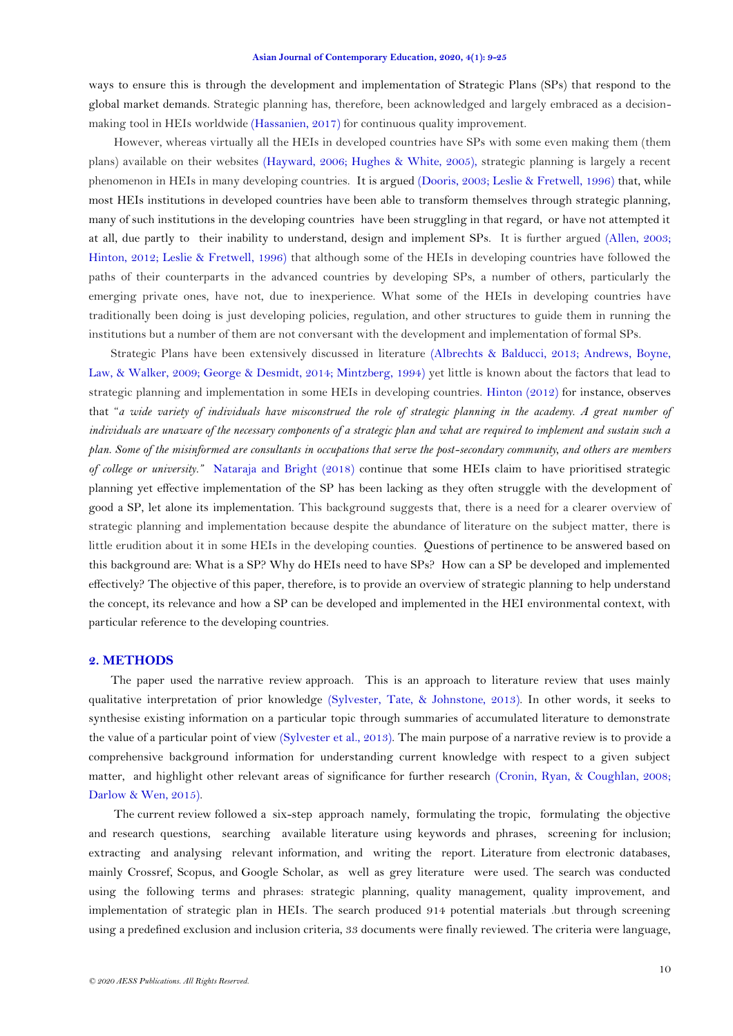ways to ensure this is through the development and implementation of Strategic Plans (SPs) that respond to the global market demands. Strategic planning has, therefore, been acknowledged and largely embraced as a decisionmaking tool in HEIs worldwide [\(Hassanien, 2017\)](#page-15-0) for continuous quality improvement.

However, whereas virtually all the HEIs in developed countries have SPs with some even making them (them plans) available on their websites [\(Hayward, 2006;](#page-15-1) [Hughes & White, 2005\)](#page-15-2), strategic planning is largely a recent phenomenon in HEIs in many developing countries. It is argued [\(Dooris, 2003;](#page-14-0) [Leslie & Fretwell, 1996\)](#page-15-3) that, while most HEIs institutions in developed countries have been able to transform themselves through strategic planning, many of such institutions in the developing countries have been struggling in that regard, or have not attempted it at all, due partly to their inability to understand, design and implement SPs. It is further argued [\(Allen, 2003;](#page-13-1) [Hinton, 2012;](#page-15-4) [Leslie & Fretwell, 1996\)](#page-15-3) that although some of the HEIs in developing countries have followed the paths of their counterparts in the advanced countries by developing SPs, a number of others, particularly the emerging private ones, have not, due to inexperience. What some of the HEIs in developing countries have traditionally been doing is just developing policies, regulation, and other structures to guide them in running the institutions but a number of them are not conversant with the development and implementation of formal SPs.

Strategic Plans have been extensively discussed in literature [\(Albrechts & Balducci, 2013;](#page-13-2) [Andrews, Boyne,](#page-13-3)  [Law, & Walker, 2009;](#page-13-3) [George & Desmidt, 2014;](#page-14-1) [Mintzberg, 1994\)](#page-15-5) yet little is known about the factors that lead to strategic planning and implementation in some HEIs in developing countries. [Hinton \(2012\)](#page-15-4) for instance, observes that "*a wide variety of individuals have misconstrued the role of strategic planning in the academy. A great number of individuals are unaware of the necessary components of a strategic plan and what are required to implement and sustain such a plan. Some of the misinformed are consultants in occupations that serve the post-secondary community, and others are members of college or university."* [Nataraja and Bright \(2018\)](#page-15-6) continue that some HEIs claim to have prioritised strategic planning yet effective implementation of the SP has been lacking as they often struggle with the development of good a SP, let alone its implementation. This background suggests that, there is a need for a clearer overview of strategic planning and implementation because despite the abundance of literature on the subject matter, there is little erudition about it in some HEIs in the developing counties. Questions of pertinence to be answered based on this background are: What is a SP? Why do HEIs need to have SPs? How can a SP be developed and implemented effectively? The objective of this paper, therefore, is to provide an overview of strategic planning to help understand the concept, its relevance and how a SP can be developed and implemented in the HEI environmental context, with particular reference to the developing countries.

### **2. METHODS**

The paper used the narrative review approach. This is an approach to literature review that uses mainly qualitative interpretation of prior knowledge [\(Sylvester, Tate, & Johnstone, 2013\)](#page-16-0). In other words, it seeks to synthesise existing information on a particular topic through summaries of accumulated literature to demonstrate the value of a particular point of view [\(Sylvester et al., 2013\)](#page-16-0). The main purpose of a narrative review is to provide a comprehensive background information for understanding current knowledge with respect to a given subject matter, and highlight other relevant areas of significance for further research [\(Cronin, Ryan, & Coughlan, 2008;](#page-14-2) [Darlow & Wen, 2015\)](#page-14-3).

The current review followed a six-step approach namely, formulating the tropic, formulating the objective and research questions, searching available literature using keywords and phrases, screening for inclusion; extracting and analysing relevant information, and writing the report. Literature from electronic databases, mainly Crossref, Scopus, and Google Scholar, as well as grey literature were used. The search was conducted using the following terms and phrases: strategic planning, quality management, quality improvement, and implementation of strategic plan in HEIs. The search produced 914 potential materials .but through screening using a predefined exclusion and inclusion criteria, 33 documents were finally reviewed. The criteria were language,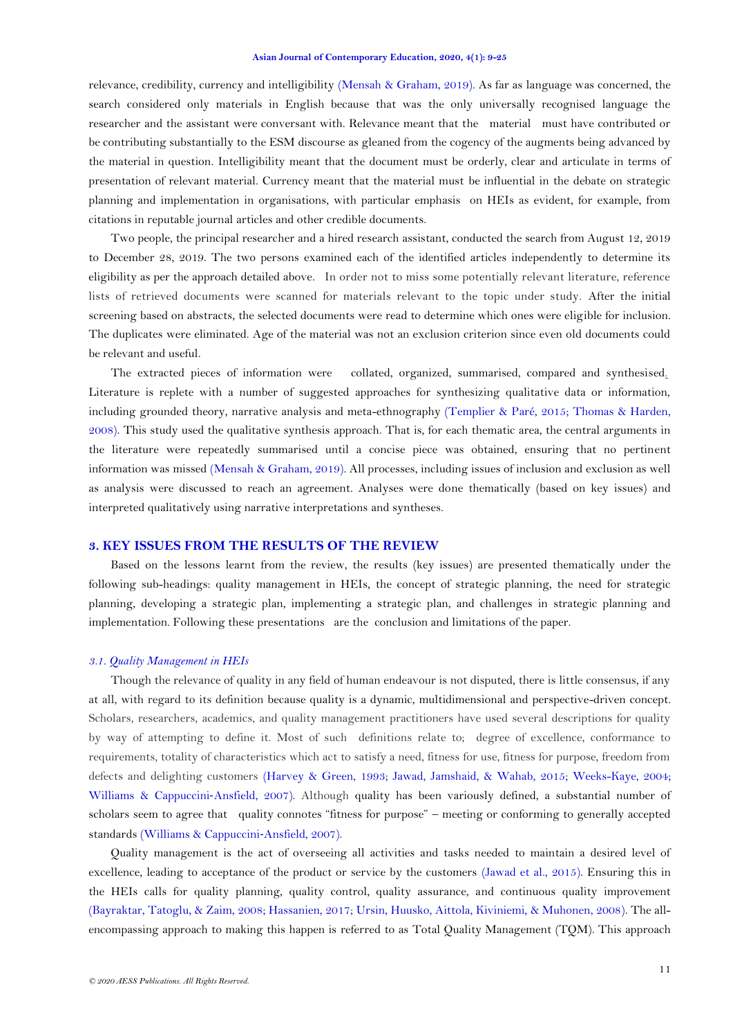relevance, credibility, currency and intelligibility [\(Mensah & Graham, 2019\)](#page-15-7). As far as language was concerned, the search considered only materials in English because that was the only universally recognised language the researcher and the assistant were conversant with. Relevance meant that the material must have contributed or be contributing substantially to the ESM discourse as gleaned from the cogency of the augments being advanced by the material in question. Intelligibility meant that the document must be orderly, clear and articulate in terms of presentation of relevant material. Currency meant that the material must be influential in the debate on strategic planning and implementation in organisations, with particular emphasis on HEIs as evident, for example, from citations in reputable journal articles and other credible documents.

Two people, the principal researcher and a hired research assistant, conducted the search from August 12, 2019 to December 28, 2019. The two persons examined each of the identified articles independently to determine its eligibility as per the approach detailed above. In order not to miss some potentially relevant literature, reference lists of retrieved documents were scanned for materials relevant to the topic under study. After the initial screening based on abstracts, the selected documents were read to determine which ones were eligible for inclusion. The duplicates were eliminated. Age of the material was not an exclusion criterion since even old documents could be relevant and useful.

The extracted pieces of information were collated, organized, summarised, compared and synthesised. Literature is replete with a number of suggested approaches for synthesizing qualitative data or information, including grounded theory, narrative analysis and meta-ethnography [\(Templier & Paré, 2015;](#page-16-1) [Thomas & Harden,](#page-16-2)  [2008\)](#page-16-2). This study used the qualitative synthesis approach. That is, for each thematic area, the central arguments in the literature were repeatedly summarised until a concise piece was obtained, ensuring that no pertinent information was missed [\(Mensah & Graham, 2019\)](#page-15-7). All processes, including issues of inclusion and exclusion as well as analysis were discussed to reach an agreement. Analyses were done thematically (based on key issues) and interpreted qualitatively using narrative interpretations and syntheses.

### **3. KEY ISSUES FROM THE RESULTS OF THE REVIEW**

Based on the lessons learnt from the review, the results (key issues) are presented thematically under the following sub-headings: quality management in HEIs, the concept of strategic planning, the need for strategic planning, developing a strategic plan, implementing a strategic plan, and challenges in strategic planning and implementation. Following these presentations are the conclusion and limitations of the paper.

### *3.1. Quality Management in HEIs*

Though the relevance of quality in any field of human endeavour is not disputed, there is little consensus, if any at all, with regard to its definition because quality is a dynamic, multidimensional and perspective-driven concept. Scholars, researchers, academics, and quality management practitioners have used several descriptions for quality by way of attempting to define it. Most of such definitions relate to; degree of excellence, conformance to requirements, totality of characteristics which act to satisfy a need, fitness for use, fitness for purpose, freedom from defects and delighting customers [\(Harvey & Green, 1993;](#page-15-8) [Jawad, Jamshaid, & Wahab, 2015;](#page-15-9) [Weeks-Kaye, 2004;](#page-16-3) [Williams & Cappuccini](#page-16-4)-Ansfield, 2007). Although quality has been variously defined, a substantial number of scholars seem to agree that quality connotes "fitness for purpose" – meeting or conforming to generally accepted standards [\(Williams & Cappuccini](#page-16-4)‐Ansfield, 2007).

Quality management is the act of overseeing all activities and tasks needed to maintain a desired level of excellence, leading to acceptance of the product or service by the customers [\(Jawad et al., 2015\)](#page-15-9). Ensuring this in the HEIs calls for quality planning, quality control, quality assurance, and continuous quality improvement [\(Bayraktar, Tatoglu, & Zaim, 2008;](#page-13-4) [Hassanien, 2017;](#page-15-0) [Ursin, Huusko, Aittola, Kiviniemi, & Muhonen, 2008\)](#page-16-5). The allencompassing approach to making this happen is referred to as Total Quality Management (TQM). This approach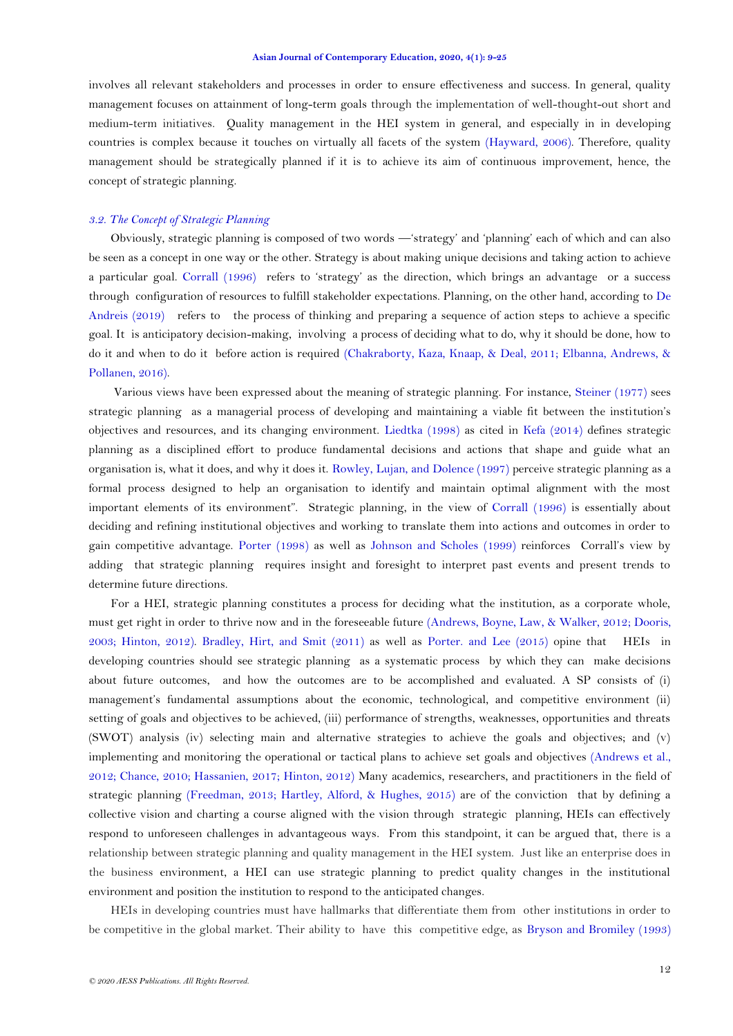involves all relevant stakeholders and processes in order to ensure effectiveness and success. In general, quality management focuses on attainment of long-term goals through the implementation of well-thought-out short and medium-term initiatives. Quality management in the HEI system in general, and especially in in developing countries is complex because it touches on virtually all facets of the system [\(Hayward, 2006\)](#page-15-1). Therefore, quality management should be strategically planned if it is to achieve its aim of continuous improvement, hence, the concept of strategic planning.

### *3.2. The Concept of Strategic Planning*

Obviously, strategic planning is composed of two words —‗strategy' and ‗planning' each of which and can also be seen as a concept in one way or the other. Strategy is about making unique decisions and taking action to achieve a particular goal. [Corrall \(1996\)](#page-14-4) refers to 'strategy' as the direction, which brings an advantage or a success through configuration of resources to fulfill stakeholder expectations. Planning, on the other hand, according to [De](#page-14-5)  [Andreis \(2019\)](#page-14-5) refers to the process of thinking and preparing a sequence of action steps to achieve a specific goal. It is anticipatory decision-making, involving a process of deciding what to do, why it should be done, how to do it and when to do it before action is required [\(Chakraborty, Kaza, Knaap, & Deal, 2011;](#page-14-6) [Elbanna, Andrews, &](#page-14-7)  [Pollanen, 2016\)](#page-14-7).

Various views have been expressed about the meaning of strategic planning. For instance, [Steiner \(1977\)](#page-16-6) sees strategic planning as a managerial process of developing and maintaining a viable fit between the institution's objectives and resources, and its changing environment. [Liedtka \(1998\)](#page-15-10) as cited in [Kefa \(2014\)](#page-15-11) defines strategic planning as a disciplined effort to produce fundamental decisions and actions that shape and guide what an organisation is, what it does, and why it does it. [Rowley, Lujan, and Dolence \(1997\)](#page-16-7) perceive strategic planning as a formal process designed to help an organisation to identify and maintain optimal alignment with the most important elements of its environment". Strategic planning, in the view of [Corrall \(1996\)](#page-14-4) is essentially about deciding and refining institutional objectives and working to translate them into actions and outcomes in order to gain competitive advantage. [Porter \(1998\)](#page-16-8) as well as [Johnson and Scholes \(1999\)](#page-15-12) reinforces Corrall's view by adding that strategic planning requires insight and foresight to interpret past events and present trends to determine future directions.

For a HEI, strategic planning constitutes a process for deciding what the institution, as a corporate whole, must get right in order to thrive now and in the foreseeable future [\(Andrews, Boyne, Law, & Walker, 2012;](#page-13-5) [Dooris,](#page-14-0)  [2003;](#page-14-0) [Hinton, 2012\)](#page-15-4). [Bradley, Hirt, and Smit \(2011\)](#page-13-6) as well as [Porter. and Lee \(2015\)](#page-16-9) opine that HEIs in developing countries should see strategic planning as a systematic process by which they can make decisions about future outcomes, and how the outcomes are to be accomplished and evaluated. A SP consists of (i) management's fundamental assumptions about the economic, technological, and competitive environment (ii) setting of goals and objectives to be achieved, (iii) performance of strengths, weaknesses, opportunities and threats (SWOT) analysis (iv) selecting main and alternative strategies to achieve the goals and objectives; and (v) implementing and monitoring the operational or tactical plans to achieve set goals and objectives [\(Andrews](#page-13-5) et al., [2012;](#page-13-5) [Chance, 2010;](#page-14-8) [Hassanien, 2017;](#page-15-0) [Hinton, 2012\)](#page-15-4) Many academics, researchers, and practitioners in the field of strategic planning [\(Freedman, 2013;](#page-14-9) [Hartley, Alford, & Hughes, 2015\)](#page-14-10) are of the conviction that by defining a collective vision and charting a course aligned with the vision through strategic planning, HEIs can effectively respond to unforeseen challenges in advantageous ways. From this standpoint, it can be argued that, there is a relationship between strategic planning and quality management in the HEI system. Just like an enterprise does in the business environment, a HEI can use strategic planning to predict quality changes in the institutional environment and position the institution to respond to the anticipated changes.

HEIs in developing countries must have hallmarks that differentiate them from other institutions in order to be competitive in the global market. Their ability to have this competitive edge, as [Bryson and Bromiley \(1993\)](#page-13-7)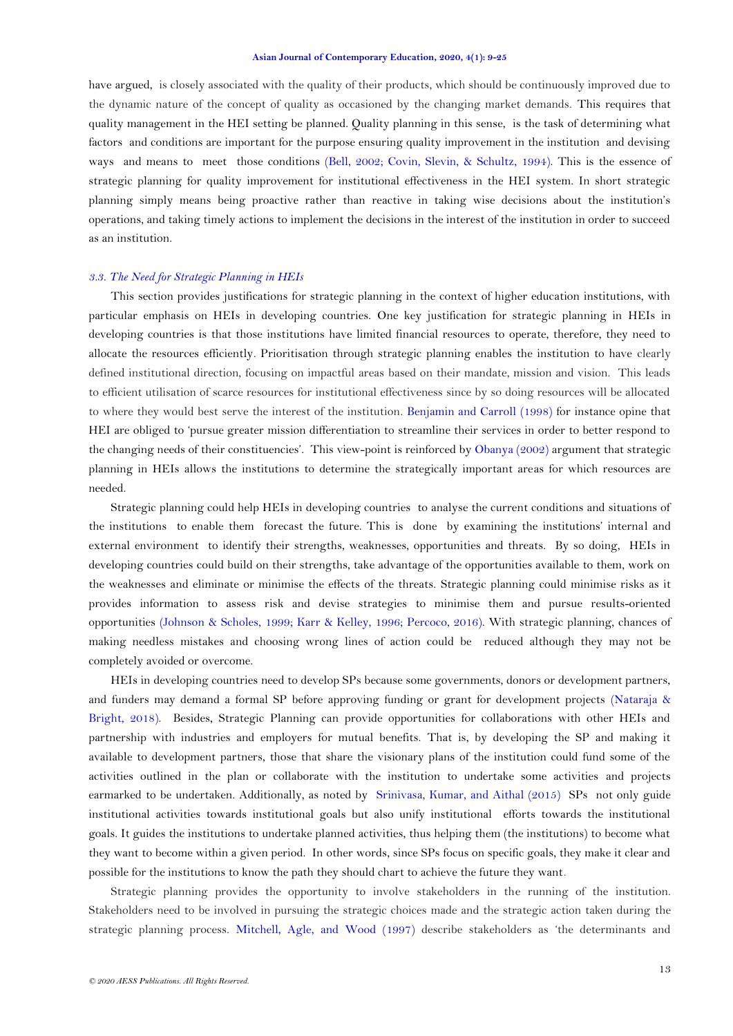have argued, is closely associated with the quality of their products, which should be continuously improved due to the dynamic nature of the concept of quality as occasioned by the changing market demands. This requires that quality management in the HEI setting be planned. Quality planning in this sense, is the task of determining what factors and conditions are important for the purpose ensuring quality improvement in the institution and devising ways and means to meet those conditions [\(Bell, 2002;](#page-13-8) [Covin, Slevin, & Schultz, 1994\)](#page-14-11). This is the essence of strategic planning for quality improvement for institutional effectiveness in the HEI system. In short strategic planning simply means being proactive rather than reactive in taking wise decisions about the institution's operations, and taking timely actions to implement the decisions in the interest of the institution in order to succeed as an institution.

### *3.3. The Need for Strategic Planning in HEIs*

This section provides justifications for strategic planning in the context of higher education institutions, with particular emphasis on HEIs in developing countries. One key justification for strategic planning in HEIs in developing countries is that those institutions have limited financial resources to operate, therefore, they need to allocate the resources efficiently. Prioritisation through strategic planning enables the institution to have clearly defined institutional direction, focusing on impactful areas based on their mandate, mission and vision. This leads to efficient utilisation of scarce resources for institutional effectiveness since by so doing resources will be allocated to where they would best serve the interest of the institution. [Benjamin and Carroll](#page-13-0) (1998) for instance opine that HEI are obliged to 'pursue greater mission differentiation to streamline their services in order to better respond to the changing needs of their constituencies'. This view-point is reinforced b[y Obanya \(2002\)](#page-15-13) argument that strategic planning in HEIs allows the institutions to determine the strategically important areas for which resources are needed.

Strategic planning could help HEIs in developing countries to analyse the current conditions and situations of the institutions to enable them forecast the future. This is done by examining the institutions' internal and external environment to identify their strengths, weaknesses, opportunities and threats. By so doing, HEIs in developing countries could build on their strengths, take advantage of the opportunities available to them, work on the weaknesses and eliminate or minimise the effects of the threats. Strategic planning could minimise risks as it provides information to assess risk and devise strategies to minimise them and pursue results-oriented opportunities [\(Johnson & Scholes, 1999;](#page-15-12) [Karr & Kelley, 1996;](#page-15-14) [Percoco, 2016\)](#page-16-10). With strategic planning, chances of making needless mistakes and choosing wrong lines of action could be reduced although they may not be completely avoided or overcome.

HEIs in developing countries need to develop SPs because some governments, donors or development partners, and funders may demand a formal SP before approving funding or grant for development projects [\(Nataraja &](#page-15-6)  [Bright, 2018\)](#page-15-6). Besides, Strategic Planning can provide opportunities for collaborations with other HEIs and partnership with industries and employers for mutual benefits. That is, by developing the SP and making it available to development partners, those that share the visionary plans of the institution could fund some of the activities outlined in the plan or collaborate with the institution to undertake some activities and projects earmarked to be undertaken. Additionally, as noted by [Srinivasa, Kumar, and Aithal \(2015\)](#page-16-11) SPs not only guide institutional activities towards institutional goals but also unify institutional efforts towards the institutional goals. It guides the institutions to undertake planned activities, thus helping them (the institutions) to become what they want to become within a given period. In other words, since SPs focus on specific goals, they make it clear and possible for the institutions to know the path they should chart to achieve the future they want.

Strategic planning provides the opportunity to involve stakeholders in the running of the institution. Stakeholders need to be involved in pursuing the strategic choices made and the strategic action taken during the strategic planning process. [Mitchell, Agle, and Wood \(1997\)](#page-15-15) describe stakeholders as 'the determinants and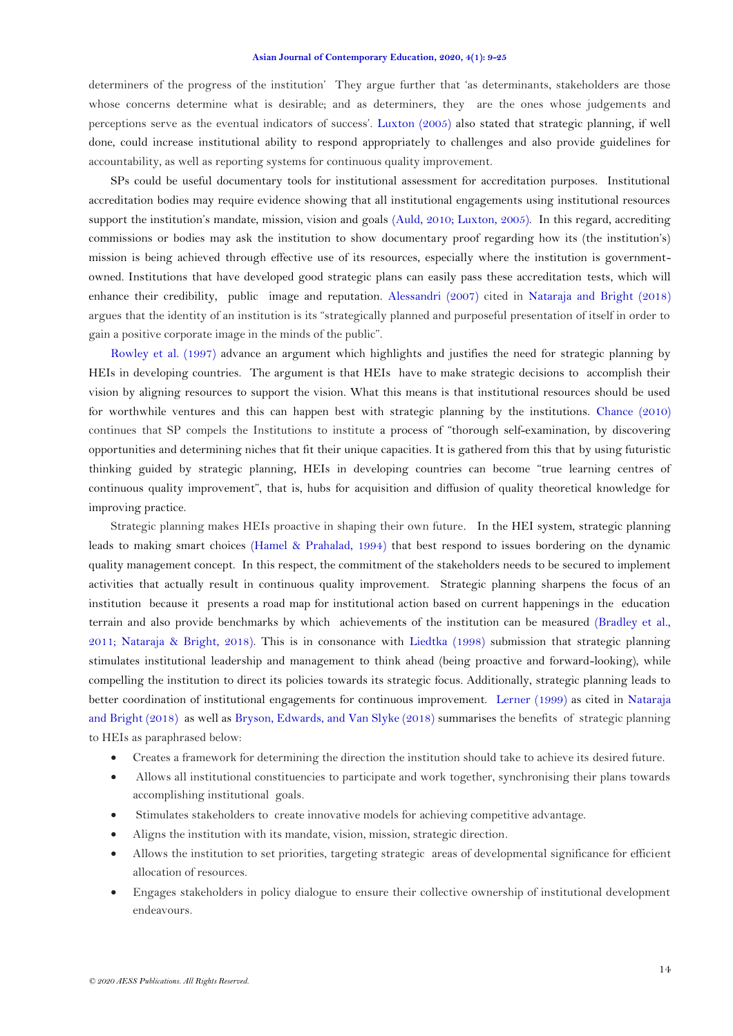determiners of the progress of the institution' They argue further that 'as determinants, stakeholders are those whose concerns determine what is desirable; and as determiners, they are the ones whose judgements and perceptions serve as the eventual indicators of success'. [Luxton \(2005\)](#page-15-16) also stated that strategic planning, if well done, could increase institutional ability to respond appropriately to challenges and also provide guidelines for accountability, as well as reporting systems for continuous quality improvement.

SPs could be useful documentary tools for institutional assessment for accreditation purposes. Institutional accreditation bodies may require evidence showing that all institutional engagements using institutional resources support the institution's mandate, mission, vision and goals [\(Auld, 2010;](#page-13-9) [Luxton, 2005\)](#page-15-16). In this regard, accrediting commissions or bodies may ask the institution to show documentary proof regarding how its (the institution's) mission is being achieved through effective use of its resources, especially where the institution is governmentowned. Institutions that have developed good strategic plans can easily pass these accreditation tests, which will enhance their credibility, public image and reputation. [Alessandri \(2007\)](#page-13-10) cited in [Nataraja and Bright \(2018\)](#page-15-6) argues that the identity of an institution is its "strategically planned and purposeful presentation of itself in order to gain a positive corporate image in the minds of the public".

[Rowley et al. \(1997\)](#page-16-7) advance an argument which highlights and justifies the need for strategic planning by HEIs in developing countries. The argument is that HEIs have to make strategic decisions to accomplish their vision by aligning resources to support the vision. What this means is that institutional resources should be used for worthwhile ventures and this can happen best with strategic planning by the institutions. [Chance \(2010\)](#page-14-8) continues that SP compels the Institutions to institute a process of "thorough self-examination, by discovering opportunities and determining niches that fit their unique capacities. It is gathered from this that by using futuristic thinking guided by strategic planning, HEIs in developing countries can become "true learning centres of continuous quality improvement", that is, hubs for acquisition and diffusion of quality theoretical knowledge for improving practice.

Strategic planning makes HEIs proactive in shaping their own future. In the HEI system, strategic planning leads to making smart choices [\(Hamel & Prahalad, 1994\)](#page-14-12) that best respond to issues bordering on the dynamic quality management concept. In this respect, the commitment of the stakeholders needs to be secured to implement activities that actually result in continuous quality improvement. Strategic planning sharpens the focus of an institution because it presents a road map for institutional action based on current happenings in the education terrain and also provide benchmarks by which achievements of the institution can be measured [\(Bradley et al.,](#page-13-6)  [2011;](#page-13-6) [Nataraja & Bright, 2018\)](#page-15-6). This is in consonance with [Liedtka \(1998\)](#page-15-10) submission that strategic planning stimulates institutional leadership and management to think ahead (being proactive and forward-looking), while compelling the institution to direct its policies towards its strategic focus. Additionally, strategic planning leads to better coordination of institutional engagements for continuous improvement. [Lerner \(1999\)](#page-15-17) as cited in [Nataraja](#page-15-6)  [and Bright \(2018\)](#page-15-6) as well as [Bryson, Edwards, and Van Slyke \(2018\)](#page-14-13) summarises the benefits of strategic planning to HEIs as paraphrased below:

- Creates a framework for determining the direction the institution should take to achieve its desired future.
- Allows all institutional constituencies to participate and work together, synchronising their plans towards accomplishing institutional goals.
- Stimulates stakeholders to create innovative models for achieving competitive advantage.
- Aligns the institution with its mandate, vision, mission, strategic direction.
- Allows the institution to set priorities, targeting strategic areas of developmental significance for efficient allocation of resources.
- Engages stakeholders in policy dialogue to ensure their collective ownership of institutional development endeavours.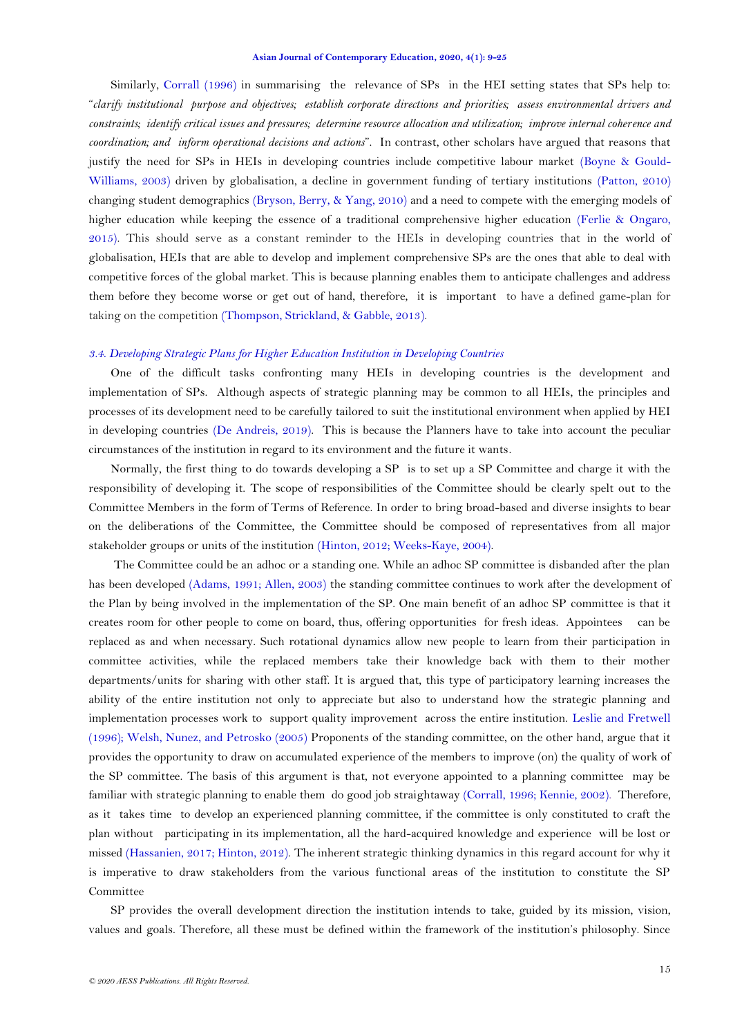Similarly, [Corrall \(1996\)](#page-14-4) in summarising the relevance of SPs in the HEI setting states that SPs help to: ―*clarify institutional purpose and objectives; establish corporate directions and priorities; assess environmental drivers and constraints; identify critical issues and pressures; determine resource allocation and utilization; improve internal coherence and coordination; and inform operational decisions and actions*‖. In contrast, other scholars have argued that reasons that justify the need for SPs in HEIs in developing countries include competitive labour market [\(Boyne & Gould-](#page-13-11)[Williams, 2003\)](#page-13-11) driven by globalisation, a decline in government funding of tertiary institutions [\(Patton, 2010\)](#page-16-12) changing student demographics [\(Bryson, Berry, & Yang, 2010\)](#page-14-14) and a need to compete with the emerging models of higher education while keeping the essence of a traditional comprehensive higher education [\(Ferlie & Ongaro,](#page-14-15)  [2015\)](#page-14-15). This should serve as a constant reminder to the HEIs in developing countries that in the world of globalisation, HEIs that are able to develop and implement comprehensive SPs are the ones that able to deal with competitive forces of the global market. This is because planning enables them to anticipate challenges and address them before they become worse or get out of hand, therefore, it is important to have a defined game-plan for taking on the competition [\(Thompson, Strickland, & Gabble, 2013\)](#page-16-13).

### *3.4. Developing Strategic Plans for Higher Education Institution in Developing Countries*

One of the difficult tasks confronting many HEIs in developing countries is the development and implementation of SPs. Although aspects of strategic planning may be common to all HEIs, the principles and processes of its development need to be carefully tailored to suit the institutional environment when applied by HEI in developing countries [\(De Andreis, 2019\)](#page-14-5). This is because the Planners have to take into account the peculiar circumstances of the institution in regard to its environment and the future it wants.

Normally, the first thing to do towards developing a SP is to set up a SP Committee and charge it with the responsibility of developing it. The scope of responsibilities of the Committee should be clearly spelt out to the Committee Members in the form of Terms of Reference. In order to bring broad-based and diverse insights to bear on the deliberations of the Committee, the Committee should be composed of representatives from all major stakeholder groups or units of the institution [\(Hinton, 2012;](#page-15-4) [Weeks-Kaye, 2004\)](#page-16-3).

The Committee could be an adhoc or a standing one. While an adhoc SP committee is disbanded after the plan has been developed [\(Adams, 1991;](#page-13-12) [Allen, 2003\)](#page-13-1) the standing committee continues to work after the development of the Plan by being involved in the implementation of the SP. One main benefit of an adhoc SP committee is that it creates room for other people to come on board, thus, offering opportunities for fresh ideas. Appointees can be replaced as and when necessary. Such rotational dynamics allow new people to learn from their participation in committee activities, while the replaced members take their knowledge back with them to their mother departments/units for sharing with other staff. It is argued that, this type of participatory learning increases the ability of the entire institution not only to appreciate but also to understand how the strategic planning and implementation processes work to support quality improvement across the entire institution. [Leslie and Fretwell](#page-15-3)  [\(1996\)](#page-15-3); [Welsh, Nunez, and Petrosko \(2005\)](#page-16-14) Proponents of the standing committee, on the other hand, argue that it provides the opportunity to draw on accumulated experience of the members to improve (on) the quality of work of the SP committee. The basis of this argument is that, not everyone appointed to a planning committee may be familiar with strategic planning to enable them do good job straightaway [\(Corrall, 1996;](#page-14-4) [Kennie, 2002\)](#page-15-18). Therefore, as it takes time to develop an experienced planning committee, if the committee is only constituted to craft the plan without participating in its implementation, all the hard-acquired knowledge and experience will be lost or missed [\(Hassanien, 2017;](#page-15-0) [Hinton, 2012\)](#page-15-4). The inherent strategic thinking dynamics in this regard account for why it is imperative to draw stakeholders from the various functional areas of the institution to constitute the SP Committee

SP provides the overall development direction the institution intends to take, guided by its mission, vision, values and goals. Therefore, all these must be defined within the framework of the institution's philosophy. Since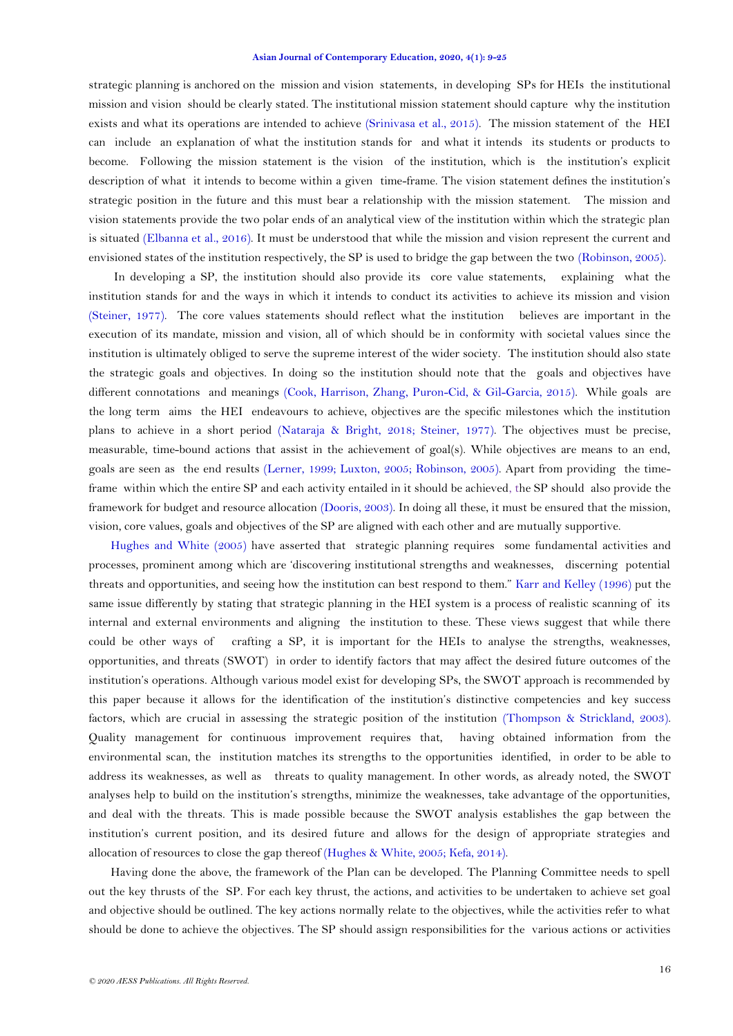strategic planning is anchored on the mission and vision statements, in developing SPs for HEIs the institutional mission and vision should be clearly stated. The institutional mission statement should capture why the institution exists and what its operations are intended to achieve [\(Srinivasa et al., 2015\)](#page-16-11). The mission statement of the HEI can include an explanation of what the institution stands for and what it intends its students or products to become. Following the mission statement is the vision of the institution, which is the institution's explicit description of what it intends to become within a given time-frame. The vision statement defines the institution's strategic position in the future and this must bear a relationship with the mission statement. The mission and vision statements provide the two polar ends of an analytical view of the institution within which the strategic plan is situated [\(Elbanna et al., 2016\)](#page-14-7). It must be understood that while the mission and vision represent the current and envisioned states of the institution respectively, the SP is used to bridge the gap between the two [\(Robinson, 2005\)](#page-16-15).

In developing a SP, the institution should also provide its core value statements, explaining what the institution stands for and the ways in which it intends to conduct its activities to achieve its mission and vision [\(Steiner, 1977\)](#page-16-6). The core values statements should reflect what the institution believes are important in the execution of its mandate, mission and vision, all of which should be in conformity with societal values since the institution is ultimately obliged to serve the supreme interest of the wider society. The institution should also state the strategic goals and objectives. In doing so the institution should note that the goals and objectives have different connotations and meanings [\(Cook, Harrison, Zhang, Puron-Cid, & Gil-Garcia, 2015\)](#page-14-16). While goals are the long term aims the HEI endeavours to achieve, objectives are the specific milestones which the institution plans to achieve in a short period (Nataraja & [Bright, 2018;](#page-15-6) [Steiner, 1977\)](#page-16-6). The objectives must be precise, measurable, time-bound actions that assist in the achievement of goal(s). While objectives are means to an end, goals are seen as the end results [\(Lerner, 1999;](#page-15-17) [Luxton, 2005;](#page-15-16) [Robinson, 2005\)](#page-16-15). Apart from providing the timeframe within which the entire SP and each activity entailed in it should be achieved, the SP should also provide the framework for budget and resource allocation [\(Dooris, 2003\)](#page-14-0). In doing all these, it must be ensured that the mission, vision, core values, goals and objectives of the SP are aligned with each other and are mutually supportive.

[Hughes and White \(2005\)](#page-15-2) have asserted that strategic planning requires some fundamental activities and processes, prominent among which are ‗discovering institutional strengths and weaknesses, discerning potential threats and opportunities, and seeing how the institution can best respond to them." [Karr and Kelley \(1996\)](#page-15-14) put the same issue differently by stating that strategic planning in the HEI system is a process of realistic scanning of its internal and external environments and aligning the institution to these. These views suggest that while there could be other ways of crafting a SP, it is important for the HEIs to analyse the strengths, weaknesses, opportunities, and threats (SWOT) in order to identify factors that may affect the desired future outcomes of the institution's operations. Although various model exist for developing SPs, the SWOT approach is recommended by this paper because it allows for the identification of the institution's distinctive competencies and key success factors, which are crucial in assessing the strategic position of the institution (Thompson [& Strickland, 2003\)](#page-16-16). Quality management for continuous improvement requires that, having obtained information from the environmental scan, the institution matches its strengths to the opportunities identified, in order to be able to address its weaknesses, as well as threats to quality management. In other words, as already noted, the SWOT analyses help to build on the institution's strengths, minimize the weaknesses, take advantage of the opportunities, and deal with the threats. This is made possible because the SWOT analysis establishes the gap between the institution's current position, and its desired future and allows for the design of appropriate strategies and allocation of resources to close the gap thereof [\(Hughes & White, 2005;](#page-15-2) [Kefa, 2014\)](#page-15-11).

Having done the above, the framework of the Plan can be developed. The Planning Committee needs to spell out the key thrusts of the SP. For each key thrust, the actions, and activities to be undertaken to achieve set goal and objective should be outlined. The key actions normally relate to the objectives, while the activities refer to what should be done to achieve the objectives. The SP should assign responsibilities for the various actions or activities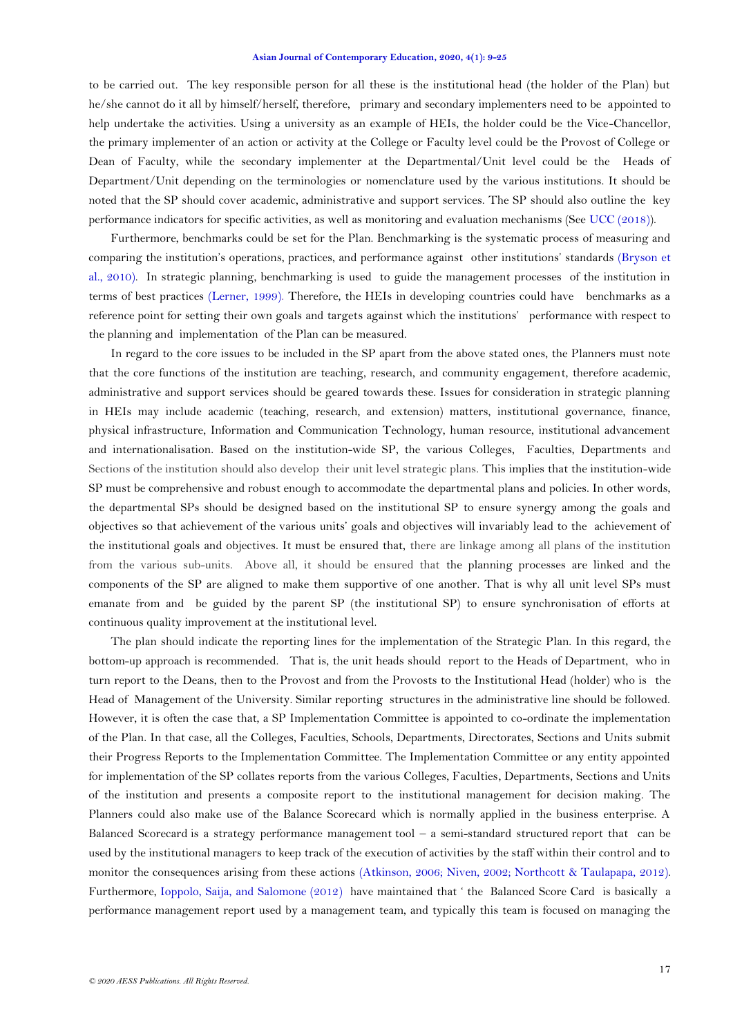to be carried out. The key responsible person for all these is the institutional head (the holder of the Plan) but he/she cannot do it all by himself/herself, therefore, primary and secondary implementers need to be appointed to help undertake the activities. Using a university as an example of HEIs, the holder could be the Vice-Chancellor, the primary implementer of an action or activity at the College or Faculty level could be the Provost of College or Dean of Faculty, while the secondary implementer at the Departmental/Unit level could be the Heads of Department/Unit depending on the terminologies or nomenclature used by the various institutions. It should be noted that the SP should cover academic, administrative and support services. The SP should also outline the key performance indicators for specific activities, as well as monitoring and evaluation mechanisms (See [UCC \(2018\)](#page-16-17)).

Furthermore, benchmarks could be set for the Plan. Benchmarking is the systematic process of measuring and comparing the institution's operations, practices, and performance against other institutions' standards [\(Bryson](#page-14-14) et [al., 2010\)](#page-14-14). In strategic planning, benchmarking is used to guide the management processes of the institution in terms of best practices [\(Lerner, 1999\)](#page-15-17). Therefore, the HEIs in developing countries could have benchmarks as a reference point for setting their own goals and targets against which the institutions' performance with respect to the planning and implementation of the Plan can be measured.

In regard to the core issues to be included in the SP apart from the above stated ones, the Planners must note that the core functions of the institution are teaching, research, and community engagement, therefore academic, administrative and support services should be geared towards these. Issues for consideration in strategic planning in HEIs may include academic (teaching, research, and extension) matters, institutional governance, finance, physical infrastructure, Information and Communication Technology, human resource, institutional advancement and internationalisation. Based on the institution-wide SP, the various Colleges, Faculties, Departments and Sections of the institution should also develop their unit level strategic plans. This implies that the institution-wide SP must be comprehensive and robust enough to accommodate the departmental plans and policies. In other words, the departmental SPs should be designed based on the institutional SP to ensure synergy among the goals and objectives so that achievement of the various units' goals and objectives will invariably lead to the achievement of the institutional goals and objectives. It must be ensured that, there are linkage among all plans of the institution from the various sub-units. Above all, it should be ensured that the planning processes are linked and the components of the SP are aligned to make them supportive of one another. That is why all unit level SPs must emanate from and be guided by the parent SP (the institutional SP) to ensure synchronisation of efforts at continuous quality improvement at the institutional level.

The plan should indicate the reporting lines for the implementation of the Strategic Plan. In this regard, the bottom-up approach is recommended. That is, the unit heads should report to the Heads of Department, who in turn report to the Deans, then to the Provost and from the Provosts to the Institutional Head (holder) who is the Head of Management of the University. Similar reporting structures in the administrative line should be followed. However, it is often the case that, a SP Implementation Committee is appointed to co-ordinate the implementation of the Plan. In that case, all the Colleges, Faculties, Schools, Departments, Directorates, Sections and Units submit their Progress Reports to the Implementation Committee. The Implementation Committee or any entity appointed for implementation of the SP collates reports from the various Colleges, Faculties, Departments, Sections and Units of the institution and presents a composite report to the institutional management for decision making. The Planners could also make use of the Balance Scorecard which is normally applied in the business enterprise. A Balanced Scorecard is a strategy [performance management](https://en.wikipedia.org/wiki/Performance_management) tool – a semi-standard structured [report](https://en.wikipedia.org/wiki/Report) that can be used by the institutional managers to keep track of the execution of activities by the staff within their control and to monitor the consequences arising from these actions [\(Atkinson, 2006;](#page-13-13) [Niven, 2002;](#page-15-19) [Northcott & Taulapapa, 2012\)](#page-15-20). Furthermore, [Ioppolo, Saija, and Salomone \(2012\)](#page-15-21) have maintained that ‗ the Balanced Score Card is basically a performance management report used by a management team, and typically this team is focused on managing the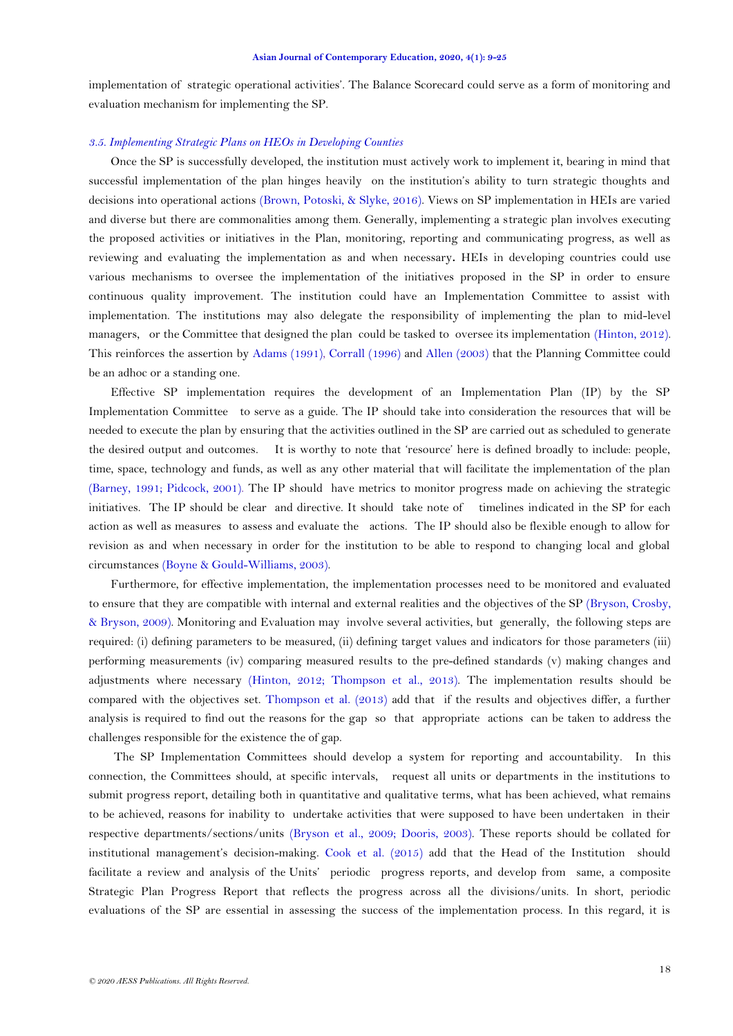implementation of strategic operational activities'. The Balance Scorecard could serve as a form of monitoring and evaluation mechanism for implementing the SP.

## *3.5. Implementing Strategic Plans on HEOs in Developing Counties*

Once the SP is successfully developed, the institution must actively work to implement it, bearing in mind that successful implementation of the plan hinges heavily on the institution's ability to turn strategic thoughts and decisions into operational actions [\(Brown, Potoski, & Slyke, 2016\)](#page-13-14). Views on SP implementation in HEIs are varied and diverse but there are commonalities among them. Generally, implementing a strategic plan involves executing the proposed activities or initiatives in the Plan, monitoring, reporting and communicating progress, as well as reviewing and evaluating the implementation as and when necessary**.** HEIs in developing countries could use various mechanisms to oversee the implementation of the initiatives proposed in the SP in order to ensure continuous quality improvement. The institution could have an Implementation Committee to assist with implementation. The institutions may also delegate the responsibility of implementing the plan to mid-level managers, or the Committee that designed the plan could be tasked to oversee its implementation [\(Hinton, 2012\)](#page-15-4). This reinforces the assertion by [Adams \(1991\)](#page-13-12), [Corrall \(1996\)](#page-14-4) and [Allen \(2003\)](#page-13-1) that the Planning Committee could be an adhoc or a standing one.

Effective SP implementation requires the development of an Implementation Plan (IP) by the SP Implementation Committee to serve as a guide. The IP should take into consideration the resources that will be needed to execute the plan by ensuring that the activities outlined in the SP are carried out as scheduled to generate the desired output and outcomes. It is worthy to note that 'resource' here is defined broadly to include: people, time, space, technology and funds, as well as any other material that will facilitate the implementation of the plan [\(Barney, 1991;](#page-13-15) [Pidcock, 2001\)](#page-16-18). The IP should have metrics to monitor progress made on achieving the strategic initiatives. The IP should be clear and directive. It should take note of timelines indicated in the SP for each action as well as measures to assess and evaluate the actions. The IP should also be flexible enough to allow for revision as and when necessary in order for the institution to be able to respond to changing local and global circumstances [\(Boyne & Gould-Williams, 2003\)](#page-13-11).

Furthermore, for effective implementation, the implementation processes need to be monitored and evaluated to ensure that they are compatible with internal and external realities and the objectives of the SP [\(Bryson, Crosby,](#page-14-17)  [& Bryson, 2009\)](#page-14-17). Monitoring and Evaluation may involve several activities, but generally, the following steps are required: (i) defining parameters to be measured, (ii) defining target values and indicators for those parameters (iii) performing measurements (iv) comparing measured results to the pre-defined standards (v) making changes and adjustments where necessary [\(Hinton,](#page-15-4) 2012; [Thompson](#page-16-13) et al., 2013). The implementation results should be compared with the objectives set. [Thompson](#page-16-13) et al. (2013) add that if the results and objectives differ, a further analysis is required to find out the reasons for the gap so that appropriate actions can be taken to address the challenges responsible for the existence the of gap.

The SP Implementation Committees should develop a system for reporting and accountability. In this connection, the Committees should, at specific intervals, request all units or departments in the institutions to submit progress report, detailing both in quantitative and qualitative terms, what has been achieved, what remains to be achieved, reasons for inability to undertake activities that were supposed to have been undertaken in their respective departments/sections/units (Bryson [et al., 2009;](#page-14-17) [Dooris, 2003\)](#page-14-0). These reports should be collated for institutional management's decision-making. [Cook et al. \(2015\)](#page-14-16) add that the Head of the Institution should facilitate a review and analysis of the Units' periodic progress reports, and develop from same, a composite Strategic Plan Progress Report that reflects the progress across all the divisions/units. In short, periodic evaluations of the SP are essential in assessing the success of the implementation process. In this regard, it is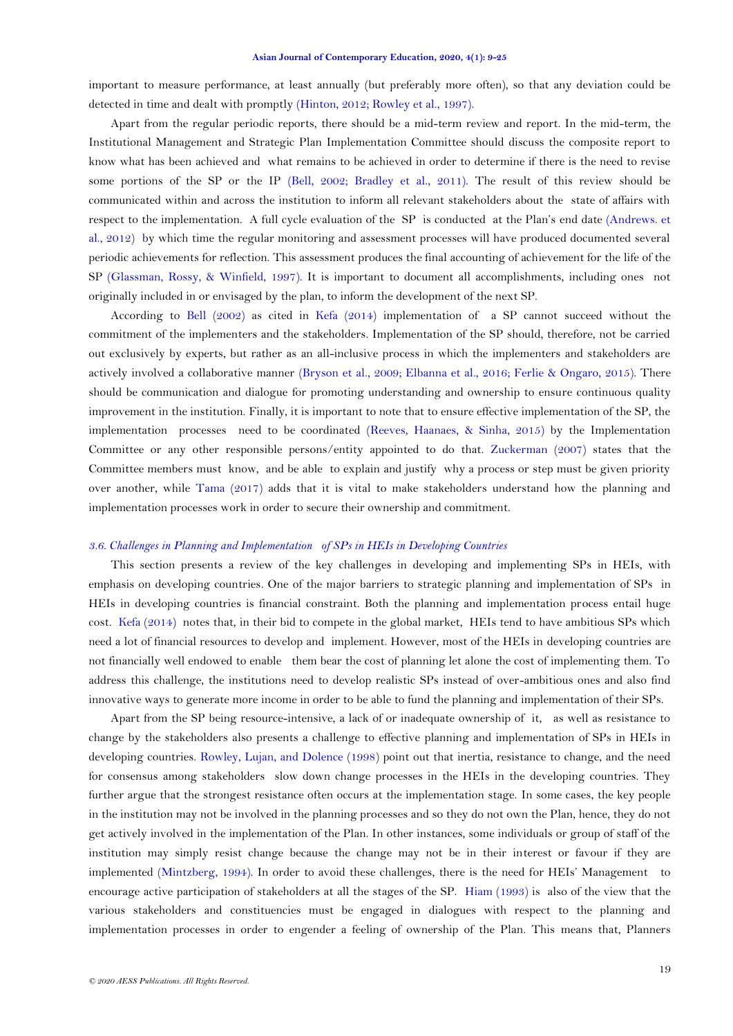important to measure performance, at least annually (but preferably more often), so that any deviation could be detected in time and dealt with promptly [\(Hinton, 2012;](#page-15-4) [Rowley et al., 1997\)](#page-16-7).

Apart from the regular periodic reports, there should be a mid-term review and report. In the mid-term, the Institutional Management and Strategic Plan Implementation Committee should discuss the composite report to know what has been achieved and what remains to be achieved in order to determine if there is the need to revise some portions of the SP or the IP [\(Bell, 2002;](#page-13-8) [Bradley et al., 2011\)](#page-13-6). The result of this review should be communicated within and across the institution to inform all relevant stakeholders about the state of affairs with respect to the implementation. A full cycle evaluation of the SP is conducted at the Plan's end date [\(Andrews. et](#page-13-5)  [al., 2012\)](#page-13-5) by which time the regular monitoring and assessment processes will have produced documented several periodic achievements for reflection. This assessment produces the final accounting of achievement for the life of the SP [\(Glassman, Rossy, & Winfield, 1997\)](#page-14-18). It is important to document all accomplishments, including ones not originally included in or envisaged by the plan, to inform the development of the next SP.

According to [Bell \(2002\)](#page-13-8) as cited in [Kefa \(2014\)](#page-15-11) implementation of a SP cannot succeed without the commitment of the implementers and the stakeholders. Implementation of the SP should, therefore, not be carried out exclusively by experts, but rather as an all-inclusive process in which the implementers and stakeholders are actively involved a collaborative manner (Bryson [et al., 2009;](#page-14-17) [Elbanna et al., 2016;](#page-14-7) [Ferlie & Ongaro, 2015\)](#page-14-15). There should be communication and dialogue for promoting understanding and ownership to ensure continuous quality improvement in the institution. Finally, it is important to note that to ensure effective implementation of the SP, the implementation processes need to be coordinated [\(Reeves, Haanaes, & Sinha, 2015\)](#page-16-19) by the Implementation Committee or any other responsible persons/entity appointed to do that. [Zuckerman \(2007\)](#page-16-20) states that the Committee members must know, and be able to explain and justify why a process or step must be given priority over another, while [Tama \(2017\)](#page-16-21) adds that it is vital to make stakeholders understand how the planning and implementation processes work in order to secure their ownership and commitment.

### *3.6. Challenges in Planning and Implementation of SPs in HEIs in Developing Countries*

This section presents a review of the key challenges in developing and implementing SPs in HEIs, with emphasis on developing countries. One of the major barriers to strategic planning and implementation of SPs in HEIs in developing countries is financial constraint. Both the planning and implementation process entail huge cost. [Kefa \(2014\)](#page-15-11) notes that, in their bid to compete in the global market, HEIs tend to have ambitious SPs which need a lot of financial resources to develop and implement. However, most of the HEIs in developing countries are not financially well endowed to enable them bear the cost of planning let alone the cost of implementing them. To address this challenge, the institutions need to develop realistic SPs instead of over-ambitious ones and also find innovative ways to generate more income in order to be able to fund the planning and implementation of their SPs.

Apart from the SP being resource-intensive, a lack of or inadequate ownership of it, as well as resistance to change by the stakeholders also presents a challenge to effective planning and implementation of SPs in HEIs in developing countries. [Rowley, Lujan, and Dolence \(1998\)](#page-16-22) point out that inertia, resistance to change, and the need for consensus among stakeholders slow down change processes in the HEIs in the developing countries. They further argue that the strongest resistance often occurs at the implementation stage. In some cases, the key people in the institution may not be involved in the planning processes and so they do not own the Plan, hence, they do not get actively involved in the implementation of the Plan. In other instances, some individuals or group of staff of the institution may simply resist change because the change may not be in their interest or favour if they are implemented [\(Mintzberg, 1994\)](#page-15-22). In order to avoid these challenges, there is the need for HEIs' Management to encourage active participation of stakeholders at all the stages of the SP. [Hiam \(1993\)](#page-15-23) is also of the view that the various stakeholders and constituencies must be engaged in dialogues with respect to the planning and implementation processes in order to engender a feeling of ownership of the Plan. This means that, Planners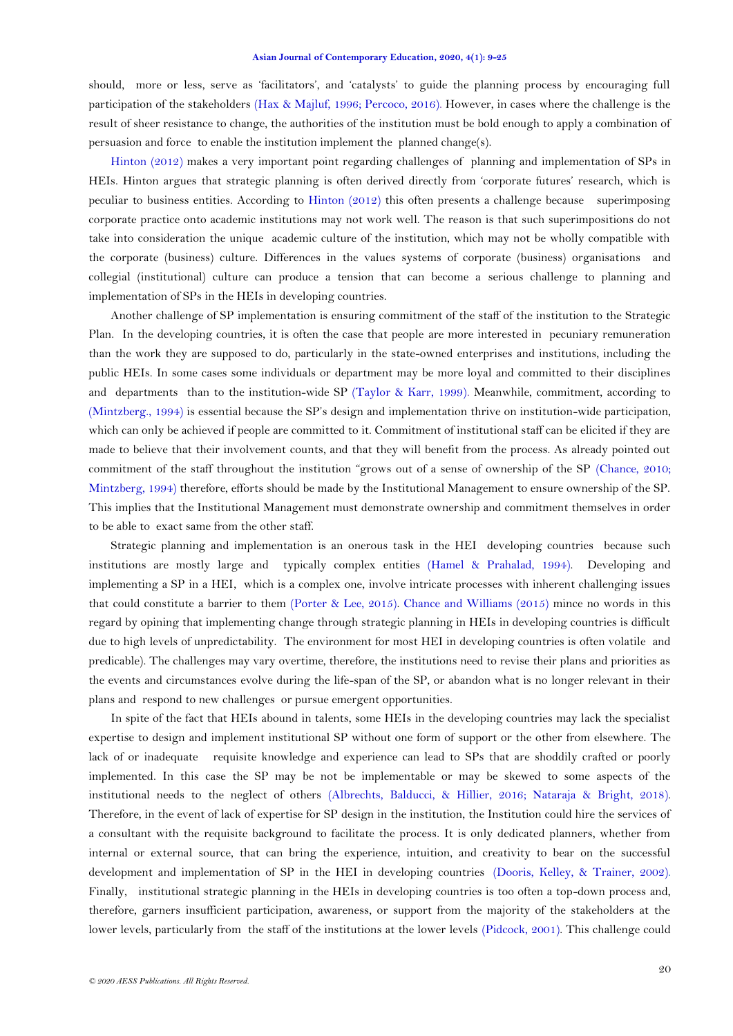should, more or less, serve as 'facilitators', and 'catalysts' to guide the planning process by encouraging full participation of the stakeholders [\(Hax & Majluf, 1996;](#page-15-24) [Percoco, 2016\)](#page-16-10). However, in cases where the challenge is the result of sheer resistance to change, the authorities of the institution must be bold enough to apply a combination of persuasion and force to enable the institution implement the planned change(s).

[Hinton \(2012\)](#page-15-4) makes a very important point regarding challenges of planning and implementation of SPs in HEIs. Hinton argues that strategic planning is often derived directly from 'corporate futures' research, which is peculiar to business entities. According to [Hinton \(2012\)](#page-15-4) this often presents a challenge because superimposing corporate practice onto academic institutions may not work well. The reason is that such superimpositions do not take into consideration the unique academic culture of the institution, which may not be wholly compatible with the corporate (business) culture. Differences in the values systems of corporate (business) organisations and collegial (institutional) culture can produce a tension that can become a serious challenge to planning and implementation of SPs in the HEIs in developing countries.

Another challenge of SP implementation is ensuring commitment of the staff of the institution to the Strategic Plan. In the developing countries, it is often the case that people are more interested in pecuniary remuneration than the work they are supposed to do, particularly in the state-owned enterprises and institutions, including the public HEIs. In some cases some individuals or department may be more loyal and committed to their disciplines and departments than to the institution-wide SP [\(Taylor & Karr, 1999\)](#page-16-23)*.* Meanwhile, commitment, according to [\(Mintzberg., 1994\)](#page-15-22) is essential because the SP's design and implementation thrive on institution-wide participation, which can only be achieved if people are committed to it. Commitment of institutional staff can be elicited if they are made to believe that their involvement counts, and that they will benefit from the process. As already pointed out commitment of the staff throughout the institution "grows out of a sense of ownership of the SP [\(Chance, 2010;](#page-14-8) [Mintzberg, 1994\)](#page-15-22) therefore, efforts should be made by the Institutional Management to ensure ownership of the SP. This implies that the Institutional Management must demonstrate ownership and commitment themselves in order to be able to exact same from the other staff.

Strategic planning and implementation is an onerous task in the HEI developing countries because such institutions are mostly large and typically complex entities [\(Hamel & Prahalad, 1994\)](#page-14-12). Developing and implementing a SP in a HEI, which is a complex one, involve intricate processes with inherent challenging issues that could constitute a barrier to them (Porter [& Lee, 2015\)](#page-16-9). Chance [and Williams \(2015\)](#page-14-19) mince no words in this regard by opining that implementing change through strategic planning in HEIs in developing countries is difficult due to high levels of unpredictability. The environment for most HEI in developing countries is often volatile and predicable). The challenges may vary overtime, therefore, the institutions need to revise their plans and priorities as the events and circumstances evolve during the life-span of the SP, or abandon what is no longer relevant in their plans and respond to new challenges or pursue emergent opportunities.

In spite of the fact that HEIs abound in talents, some HEIs in the developing countries may lack the specialist expertise to design and implement institutional SP without one form of support or the other from elsewhere. The lack of or inadequate requisite knowledge and experience can lead to SPs that are shoddily crafted or poorly implemented. In this case the SP may be not be implementable or may be skewed to some aspects of the institutional needs to the neglect of others [\(Albrechts, Balducci, & Hillier, 2016;](#page-13-16) [Nataraja & Bright, 2018\)](#page-15-6). Therefore, in the event of lack of expertise for SP design in the institution, the Institution could hire the services of a consultant with the requisite background to facilitate the process. It is only dedicated planners, whether from internal or external source, that can bring the experience, intuition, and creativity to bear on the successful development and implementation of SP in the HEI in developing countries [\(Dooris, Kelley, & Trainer, 2002\)](#page-14-20). Finally, institutional strategic planning in the HEIs in developing countries is too often a top-down process and, therefore, garners insufficient participation, awareness, or support from the majority of the stakeholders at the lower levels, particularly from the staff of the institutions at the lower levels [\(Pidcock, 2001\)](#page-16-18). This challenge could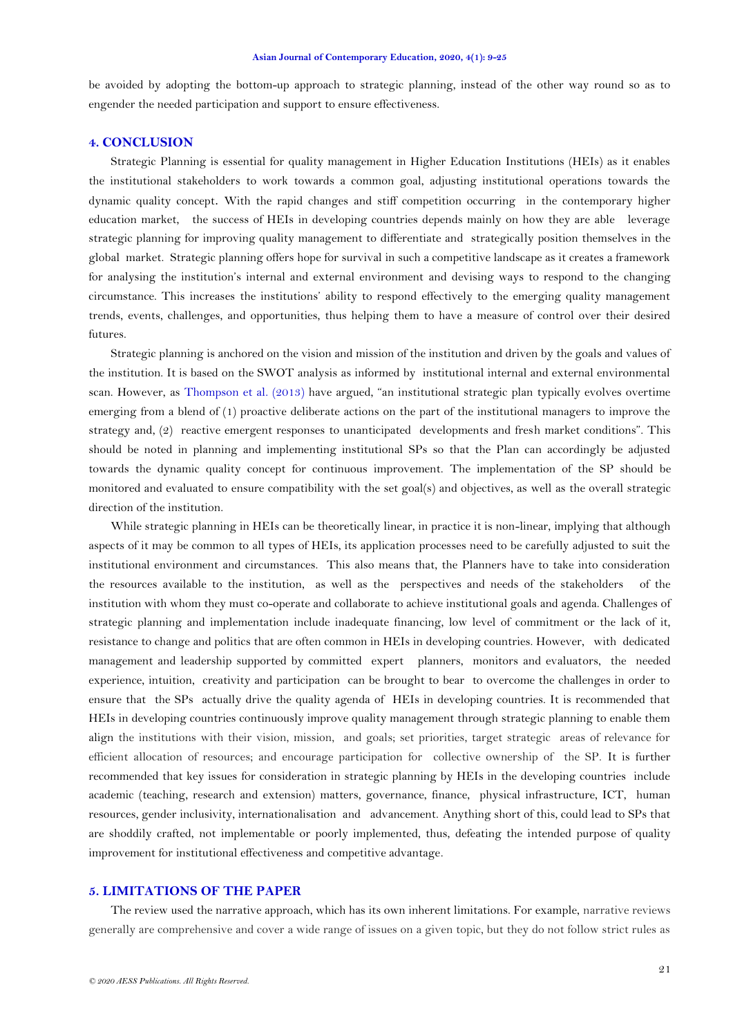be avoided by adopting the bottom-up approach to strategic planning, instead of the other way round so as to engender the needed participation and support to ensure effectiveness.

## **4. CONCLUSION**

Strategic Planning is essential for quality management in Higher Education Institutions (HEIs) as it enables the institutional stakeholders to work towards a common goal, adjusting institutional operations towards the dynamic quality concept. With the rapid changes and stiff competition occurring in the contemporary higher education market, the success of HEIs in developing countries depends mainly on how they are able leverage strategic planning for improving quality management to differentiate and strategically position themselves in the global market. Strategic planning offers hope for survival in such a competitive landscape as it creates a framework for analysing the institution's internal and external environment and devising ways to respond to the changing circumstance. This increases the institutions' ability to respond effectively to the emerging quality management trends, events, challenges, and opportunities, thus helping them to have a measure of control over their desired futures.

Strategic planning is anchored on the vision and mission of the institution and driven by the goals and values of the institution. It is based on the SWOT analysis as informed by institutional internal and external environmental scan. However, as [Thompson et al. \(2013\)](#page-16-13) have argued, "an institutional strategic plan typically evolves overtime emerging from a blend of (1) proactive deliberate actions on the part of the institutional managers to improve the strategy and, (2) reactive emergent responses to unanticipated developments and fresh market conditions". This should be noted in planning and implementing institutional SPs so that the Plan can accordingly be adjusted towards the dynamic quality concept for continuous improvement. The implementation of the SP should be monitored and evaluated to ensure compatibility with the set goal(s) and objectives, as well as the overall strategic direction of the institution.

While strategic planning in HEIs can be theoretically linear, in practice it is non-linear, implying that although aspects of it may be common to all types of HEIs, its application processes need to be carefully adjusted to suit the institutional environment and circumstances. This also means that, the Planners have to take into consideration the resources available to the institution, as well as the perspectives and needs of the stakeholders of the institution with whom they must co-operate and collaborate to achieve institutional goals and agenda. Challenges of strategic planning and implementation include inadequate financing, low level of commitment or the lack of it, resistance to change and politics that are often common in HEIs in developing countries. However, with dedicated management and leadership supported by committed expert planners, monitors and evaluators, the needed experience, intuition, creativity and participation can be brought to bear to overcome the challenges in order to ensure that the SPs actually drive the quality agenda of HEIs in developing countries. It is recommended that HEIs in developing countries continuously improve quality management through strategic planning to enable them align the institutions with their vision, mission, and goals; set priorities, target strategic areas of relevance for efficient allocation of resources; and encourage participation for collective ownership of the SP. It is further recommended that key issues for consideration in strategic planning by HEIs in the developing countries include academic (teaching, research and extension) matters, governance, finance, physical infrastructure, ICT, human resources, gender inclusivity, internationalisation and advancement. Anything short of this, could lead to SPs that are shoddily crafted, not implementable or poorly implemented, thus, defeating the intended purpose of quality improvement for institutional effectiveness and competitive advantage.

## **5. LIMITATIONS OF THE PAPER**

The review used the narrative approach, which has its own inherent limitations. For example, narrative reviews generally are comprehensive and cover a wide range of issues on a given topic, but they do not follow strict rules as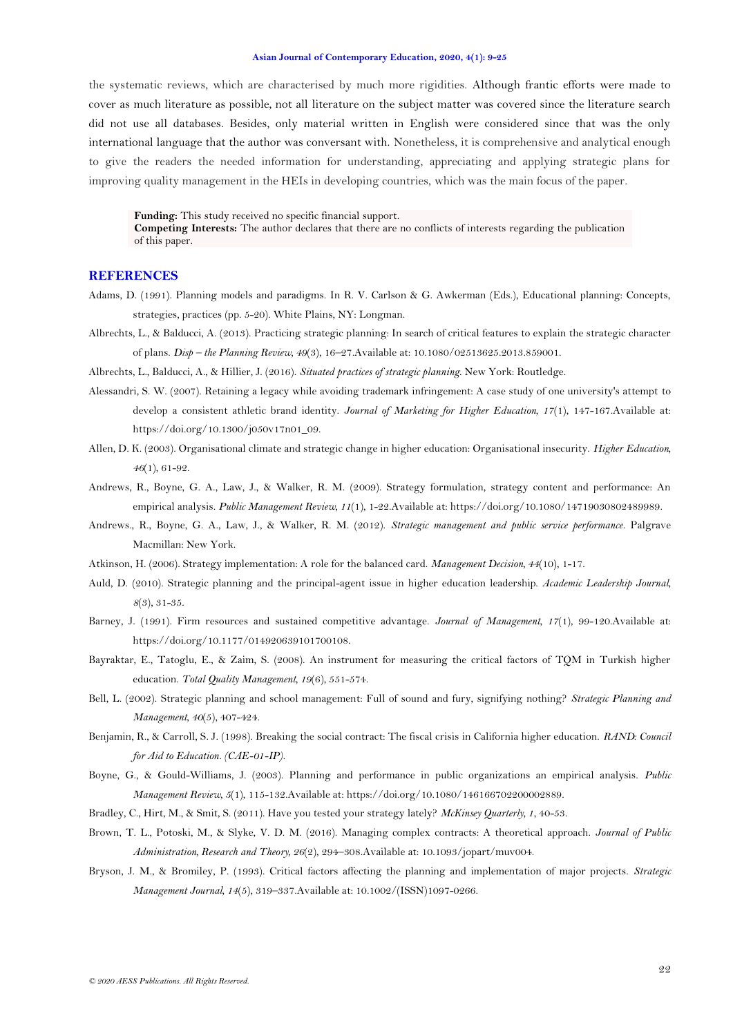the systematic reviews, which are characterised by much more rigidities. Although frantic efforts were made to cover as much literature as possible, not all literature on the subject matter was covered since the literature search did not use all databases. Besides, only material written in English were considered since that was the only international language that the author was conversant with. Nonetheless, it is comprehensive and analytical enough to give the readers the needed information for understanding, appreciating and applying strategic plans for improving quality management in the HEIs in developing countries, which was the main focus of the paper.

**Funding:** This study received no specific financial support.

**Competing Interests:** The author declares that there are no conflicts of interests regarding the publication of this paper.

## **REFERENCES**

- <span id="page-13-12"></span>Adams, D. (1991). Planning models and paradigms. In R. V. Carlson & G. Awkerman (Eds.), Educational planning: Concepts, strategies, practices (pp. 5-20). White Plains, NY: Longman.
- <span id="page-13-2"></span>Albrechts, L., & Balducci, A. (2013). Practicing strategic planning: In search of critical features to explain the strategic character of plans. *Disp – the Planning Review, 49*(3), 16–27.Available at: 10.1080/02513625.2013.859001.

<span id="page-13-16"></span>Albrechts, L., Balducci, A., & Hillier, J. (2016). *Situated practices of strategic planning*. New York: Routledge.

- <span id="page-13-10"></span>Alessandri, S. W. (2007). Retaining a legacy while avoiding trademark infringement: A case study of one university's attempt to develop a consistent athletic brand identity. *Journal of Marketing for Higher Education, 17*(1), 147-167.Available at: https://doi.org/10.1300/j050v17n01\_09.
- <span id="page-13-1"></span>Allen, D. K. (2003). Organisational climate and strategic change in higher education: Organisational insecurity. *Higher Education, 46*(1), 61-92.
- <span id="page-13-3"></span>Andrews, R., Boyne, G. A., Law, J., & Walker, R. M. (2009). Strategy formulation, strategy content and performance: An empirical analysis. *Public Management Review, 11*(1), 1-22.Available at: https://doi.org/10.1080/14719030802489989.
- <span id="page-13-5"></span>Andrews., R., Boyne, G. A., Law, J., & Walker, R. M. (2012). *Strategic management and public service performance*. Palgrave Macmillan: New York.
- <span id="page-13-13"></span>Atkinson, H. (2006). Strategy implementation: A role for the balanced card. *Management Decision, 44*(10), 1-17.
- <span id="page-13-9"></span>Auld, D. (2010). Strategic planning and the principal-agent issue in higher education leadership. *Academic Leadership Journal, 8*(3), 31-35.
- <span id="page-13-15"></span>Barney, J. (1991). Firm resources and sustained competitive advantage. *Journal of Management, 17*(1), 99-120.Available at: https://doi.org/10.1177/014920639101700108.
- <span id="page-13-4"></span>Bayraktar, E., Tatoglu, E., & Zaim, S. (2008). An instrument for measuring the critical factors of TQM in Turkish higher education. *Total Quality Management, 19*(6), 551-574.
- <span id="page-13-8"></span>Bell, L. (2002). Strategic planning and school management: Full of sound and fury, signifying nothing? *Strategic Planning and Management, 40*(5), 407-424.
- <span id="page-13-0"></span>Benjamin, R., & Carroll, S. J. (1998). Breaking the social contract: The fiscal crisis in California higher education. *RAND: Council for Aid to Education. (CAE-01-IP).*
- <span id="page-13-11"></span>Boyne, G., & Gould-Williams, J. (2003). Planning and performance in public organizations an empirical analysis. *Public Management Review, 5*(1), 115-132.Available at: https://doi.org/10.1080/146166702200002889.
- <span id="page-13-6"></span>Bradley, C., Hirt, M., & Smit, S. (2011). Have you tested your strategy lately? *McKinsey Quarterly, 1*, 40-53.
- <span id="page-13-14"></span>Brown, T. L., Potoski, M., & Slyke, V. D. M. (2016). Managing complex contracts: A theoretical approach. *Journal of Public Administration, Research and Theory, 26*(2), 294–308.Available at: 10.1093/jopart/muv004.
- <span id="page-13-7"></span>Bryson, J. M., & Bromiley, P. (1993). Critical factors affecting the planning and implementation of major projects. *Strategic Management Journal, 14*(5), 319–337.Available at: 10.1002/(ISSN)1097-0266.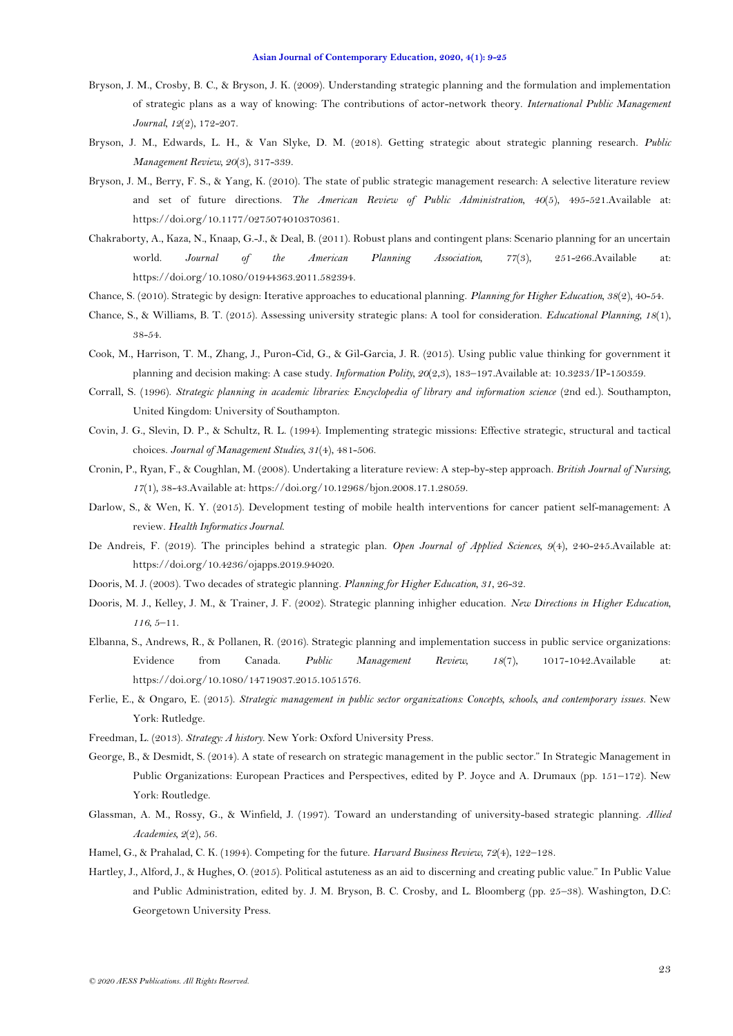- <span id="page-14-17"></span>Bryson, J. M., Crosby, B. C., & Bryson, J. K. (2009). Understanding strategic planning and the formulation and implementation of strategic plans as a way of knowing: The contributions of actor-network theory. *International Public Management Journal, 12*(2), 172-207.
- <span id="page-14-13"></span>Bryson, J. M., Edwards, L. H., & Van Slyke, D. M. (2018). Getting strategic about strategic planning research. *Public Management Review, 20*(3), 317-339.
- <span id="page-14-14"></span>Bryson, J. M., Berry, F. S., & Yang, K. (2010). The state of public strategic management research: A selective literature review and set of future directions. *The American Review of Public Administration, 40*(5), 495-521.Available at: https://doi.org/10.1177/0275074010370361.
- <span id="page-14-6"></span>Chakraborty, A., Kaza, N., Knaap, G.-J., & Deal, B. (2011). Robust plans and contingent plans: Scenario planning for an uncertain world. *Journal of the American Planning Association, 77*(3), 251-266.Available at: https://doi.org/10.1080/01944363.2011.582394.
- <span id="page-14-8"></span>Chance, S. (2010). Strategic by design: Iterative approaches to educational planning. *Planning for Higher Education, 38*(2), 40-54.
- <span id="page-14-19"></span>Chance, S., & Williams, B. T. (2015). Assessing university strategic plans: A tool for consideration. *Educational Planning, 18*(1), 38-54.
- <span id="page-14-16"></span>Cook, M., Harrison, T. M., Zhang, J., Puron-Cid, G., & Gil-Garcia, J. R. (2015). Using public value thinking for government it planning and decision making: A case study. *Information Polity, 20*(2,3), 183–197.Available at: 10.3233/IP-150359.
- <span id="page-14-4"></span>Corrall, S. (1996). *Strategic planning in academic libraries: Encyclopedia of library and information science* (2nd ed.). Southampton, United Kingdom: University of Southampton.
- <span id="page-14-11"></span>Covin, J. G., Slevin, D. P., & Schultz, R. L. (1994). Implementing strategic missions: Effective strategic, structural and tactical choices. *Journal of Management Studies, 31*(4), 481-506.
- <span id="page-14-2"></span>Cronin, P., Ryan, F., & Coughlan, M. (2008). Undertaking a literature review: A step-by-step approach. *British Journal of Nursing, 17*(1), 38-43.Available at: https://doi.org/10.12968/bjon.2008.17.1.28059.
- <span id="page-14-3"></span>Darlow, S., & Wen, K. Y. (2015). Development testing of mobile health interventions for cancer patient self-management: A review. *Health Informatics Journal*.
- <span id="page-14-5"></span>De Andreis, F. (2019). The principles behind a strategic plan. *Open Journal of Applied Sciences, 9*(4), 240-245.Available at: https://doi.org/10.4236/ojapps.2019.94020.
- <span id="page-14-0"></span>Dooris, M. J. (2003). Two decades of strategic planning. *Planning for Higher Education, 31*, 26-32.
- <span id="page-14-20"></span>Dooris, M. J., Kelley, J. M., & Trainer, J. F. (2002). Strategic planning inhigher education. *New Directions in Higher Education, 116*, 5–11.
- <span id="page-14-7"></span>Elbanna, S., Andrews, R., & Pollanen, R. (2016). Strategic planning and implementation success in public service organizations: Evidence from Canada. *Public Management Review, 18*(7), 1017-1042.Available at: https://doi.org/10.1080/14719037.2015.1051576.
- <span id="page-14-15"></span>Ferlie, E., & Ongaro, E. (2015). *Strategic management in public sector organizations: Concepts, schools, and contemporary issues*. New York: Rutledge.
- <span id="page-14-9"></span>Freedman, L. (2013). *Strategy: A history*. New York: Oxford University Press.
- <span id="page-14-1"></span>George, B., & Desmidt, S. (2014). A state of research on strategic management in the public sector." In Strategic Management in Public Organizations: European Practices and Perspectives, edited by P. Joyce and A. Drumaux (pp. 151–172). New York: Routledge.
- <span id="page-14-18"></span>Glassman, A. M., Rossy, G., & Winfield, J. (1997). Toward an understanding of university-based strategic planning. *Allied Academies, 2*(2), 56.
- <span id="page-14-12"></span>Hamel, G., & Prahalad, C. K. (1994). Competing for the future. *Harvard Business Review, 72*(4), 122–128.
- <span id="page-14-10"></span>Hartley, J., Alford, J., & Hughes, O. (2015). Political astuteness as an aid to discerning and creating public value." In Public Value and Public Administration, edited by. J. M. Bryson, B. C. Crosby, and L. Bloomberg (pp. 25–38). Washington, D.C: Georgetown University Press.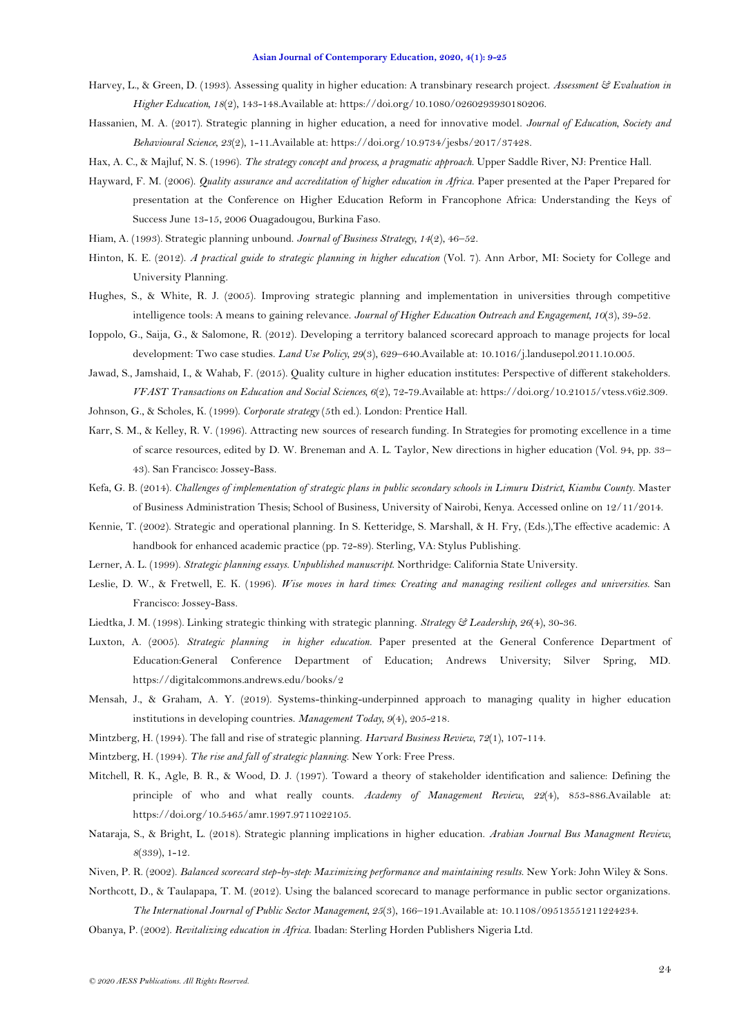- <span id="page-15-8"></span>Harvey, L., & Green, D. (1993). Assessing quality in higher education: A transbinary research project. *Assessment & Evaluation in Higher Education, 18*(2), 143-148.Available at: https://doi.org/10.1080/0260293930180206.
- <span id="page-15-0"></span>Hassanien, M. A. (2017). Strategic planning in higher education, a need for innovative model. *Journal of Education, Society and Behavioural Science, 23*(2), 1-11.Available at: https://doi.org/10.9734/jesbs/2017/37428.
- <span id="page-15-24"></span>Hax, A. C., & Majluf, N. S. (1996). *The strategy concept and process, a pragmatic approach*. Upper Saddle River, NJ: Prentice Hall.
- <span id="page-15-1"></span>Hayward, F. M. (2006). *Quality assurance and accreditation of higher education in Africa*. Paper presented at the Paper Prepared for presentation at the Conference on Higher Education Reform in Francophone Africa: Understanding the Keys of Success June 13-15, 2006 Ouagadougou, Burkina Faso.
- <span id="page-15-23"></span>Hiam, A. (1993). Strategic planning unbound. *Journal of Business Strategy, 14*(2), 46–52.
- <span id="page-15-4"></span>Hinton, K. E. (2012). *A practical guide to strategic planning in higher education* (Vol. 7). Ann Arbor, MI: Society for College and University Planning.
- <span id="page-15-2"></span>Hughes, S., & White, R. J. (2005). Improving strategic planning and implementation in universities through competitive intelligence tools: A means to gaining relevance. *Journal of Higher Education Outreach and Engagement, 10*(3), 39-52.
- <span id="page-15-21"></span>Ioppolo, G., Saija, G., & Salomone, R. (2012). Developing a territory balanced scorecard approach to manage projects for local development: Two case studies. *Land Use Policy, 29*(3), 629–640.Available at: 10.1016/j.landusepol.2011.10.005.
- <span id="page-15-9"></span>Jawad, S., Jamshaid, I., & Wahab, F. (2015). Quality culture in higher education institutes: Perspective of different stakeholders. *VFAST Transactions on Education and Social Sciences, 6*(2), 72-79.Available at: https://doi.org/10.21015/vtess.v6i2.309.
- <span id="page-15-12"></span>Johnson, G., & Scholes, K. (1999). *Corporate strategy* (5th ed.). London: Prentice Hall.
- <span id="page-15-14"></span>Karr, S. M., & Kelley, R. V. (1996). Attracting new sources of research funding. In Strategies for promoting excellence in a time of scarce resources, edited by D. W. Breneman and A. L. Taylor, New directions in higher education (Vol. 94, pp. 33– 43). San Francisco: Jossey-Bass.
- <span id="page-15-11"></span>Kefa, G. B. (2014). *Challenges of implementation of strategic plans in public secondary schools in Limuru District, Kiambu County.* Master of Business Administration Thesis; School of Business, University of Nairobi, Kenya. Accessed online on 12/11/2014.
- <span id="page-15-18"></span>Kennie, T. (2002). Strategic and operational planning. In S. Ketteridge, S. Marshall, & H. Fry, (Eds.),The effective academic: A handbook for enhanced academic practice (pp. 72-89). Sterling, VA: Stylus Publishing.
- <span id="page-15-17"></span>Lerner, A. L. (1999). *Strategic planning essays. Unpublished manuscript*. Northridge: California State University.
- <span id="page-15-3"></span>Leslie, D. W., & Fretwell, E. K. (1996). *Wise moves in hard times: Creating and managing resilient colleges and universities*. San Francisco: Jossey-Bass.
- <span id="page-15-10"></span>Liedtka, J. M. (1998). Linking strategic thinking with strategic planning. *Strategy & Leadership, 26*(4), 30-36.
- <span id="page-15-16"></span>Luxton, A. (2005). *Strategic planning in higher education*. Paper presented at the General Conference Department of Education:General Conference Department of Education; Andrews University; Silver Spring, MD. https://digitalcommons.andrews.edu/books/2
- <span id="page-15-7"></span>Mensah, J., & Graham, A. Y. (2019). Systems-thinking-underpinned approach to managing quality in higher education institutions in developing countries. *Management Today, 9*(4), 205-218.
- <span id="page-15-5"></span>Mintzberg, H. (1994). The fall and rise of strategic planning. *Harvard Business Review, 72*(1), 107-114.
- <span id="page-15-22"></span>Mintzberg, H. (1994). *The rise and fall of strategic planning*. New York: Free Press.
- <span id="page-15-15"></span>Mitchell, R. K., Agle, B. R., & Wood, D. J. (1997). Toward a theory of stakeholder identification and salience: Defining the principle of who and what really counts. *Academy of Management Review, 22*(4), 853-886.Available at: https://doi.org/10.5465/amr.1997.9711022105.
- <span id="page-15-6"></span>Nataraja, S., & Bright, L. (2018). Strategic planning implications in higher education. *Arabian Journal Bus Managment Review, 8*(339), 1-12.
- <span id="page-15-19"></span>Niven, P. R. (2002). *Balanced scorecard step-by-step: Maximizing performance and maintaining results*. New York: John Wiley & Sons.
- <span id="page-15-20"></span>Northcott, D., & Taulapapa, T. M. (2012). Using the balanced scorecard to manage performance in public sector organizations. *The International Journal of Public Sector Management, 25*(3), 166–191.Available at: 10.1108/09513551211224234.
- <span id="page-15-13"></span>Obanya, P. (2002). *Revitalizing education in Africa*. Ibadan: Sterling Horden Publishers Nigeria Ltd.